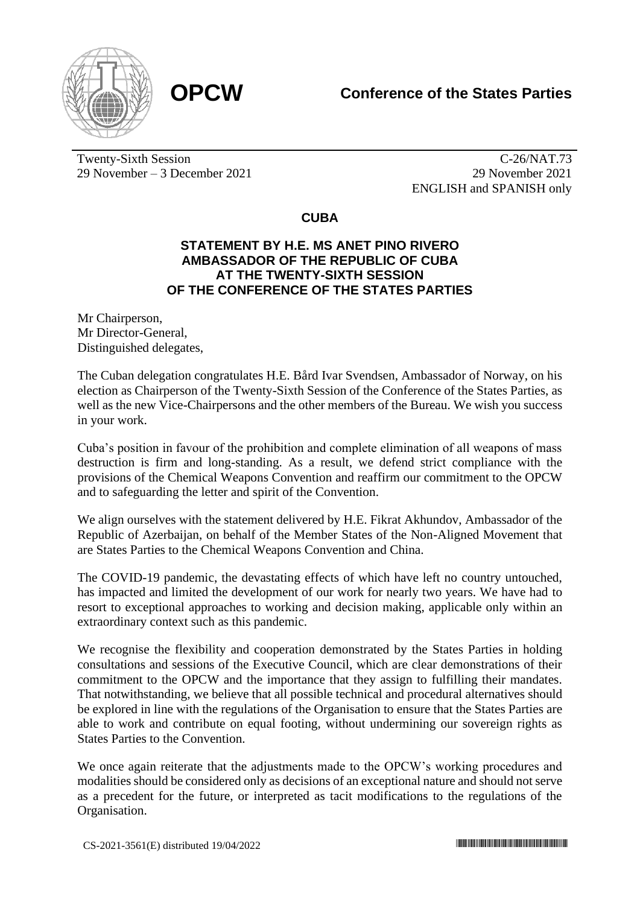



Twenty-Sixth Session 29 November – 3 December 2021

C-26/NAT.73 29 November 2021 ENGLISH and SPANISH only

## **CUBA**

## **STATEMENT BY H.E. MS ANET PINO RIVERO AMBASSADOR OF THE REPUBLIC OF CUBA AT THE TWENTY-SIXTH SESSION OF THE CONFERENCE OF THE STATES PARTIES**

Mr Chairperson, Mr Director-General, Distinguished delegates,

The Cuban delegation congratulates H.E. Bård Ivar Svendsen, Ambassador of Norway, on his election as Chairperson of the Twenty-Sixth Session of the Conference of the States Parties, as well as the new Vice-Chairpersons and the other members of the Bureau. We wish you success in your work.

Cuba's position in favour of the prohibition and complete elimination of all weapons of mass destruction is firm and long-standing. As a result, we defend strict compliance with the provisions of the Chemical Weapons Convention and reaffirm our commitment to the OPCW and to safeguarding the letter and spirit of the Convention.

We align ourselves with the statement delivered by H.E. Fikrat Akhundov, Ambassador of the Republic of Azerbaijan, on behalf of the Member States of the Non-Aligned Movement that are States Parties to the Chemical Weapons Convention and China.

The COVID-19 pandemic, the devastating effects of which have left no country untouched, has impacted and limited the development of our work for nearly two years. We have had to resort to exceptional approaches to working and decision making, applicable only within an extraordinary context such as this pandemic.

We recognise the flexibility and cooperation demonstrated by the States Parties in holding consultations and sessions of the Executive Council, which are clear demonstrations of their commitment to the OPCW and the importance that they assign to fulfilling their mandates. That notwithstanding, we believe that all possible technical and procedural alternatives should be explored in line with the regulations of the Organisation to ensure that the States Parties are able to work and contribute on equal footing, without undermining our sovereign rights as States Parties to the Convention.

We once again reiterate that the adjustments made to the OPCW's working procedures and modalities should be considered only as decisions of an exceptional nature and should not serve as a precedent for the future, or interpreted as tacit modifications to the regulations of the Organisation.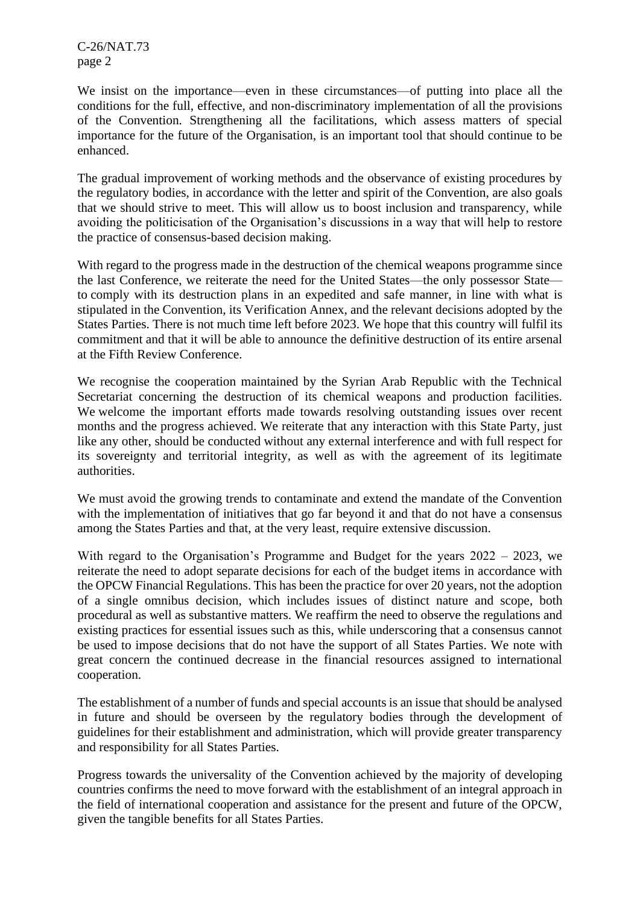C-26/NAT.73 page 2

We insist on the importance—even in these circumstances—of putting into place all the conditions for the full, effective, and non-discriminatory implementation of all the provisions of the Convention. Strengthening all the facilitations, which assess matters of special importance for the future of the Organisation, is an important tool that should continue to be enhanced.

The gradual improvement of working methods and the observance of existing procedures by the regulatory bodies, in accordance with the letter and spirit of the Convention, are also goals that we should strive to meet. This will allow us to boost inclusion and transparency, while avoiding the politicisation of the Organisation's discussions in a way that will help to restore the practice of consensus-based decision making.

With regard to the progress made in the destruction of the chemical weapons programme since the last Conference, we reiterate the need for the United States—the only possessor State to comply with its destruction plans in an expedited and safe manner, in line with what is stipulated in the Convention, its Verification Annex, and the relevant decisions adopted by the States Parties. There is not much time left before 2023. We hope that this country will fulfil its commitment and that it will be able to announce the definitive destruction of its entire arsenal at the Fifth Review Conference.

We recognise the cooperation maintained by the Syrian Arab Republic with the Technical Secretariat concerning the destruction of its chemical weapons and production facilities. We welcome the important efforts made towards resolving outstanding issues over recent months and the progress achieved. We reiterate that any interaction with this State Party, just like any other, should be conducted without any external interference and with full respect for its sovereignty and territorial integrity, as well as with the agreement of its legitimate authorities.

We must avoid the growing trends to contaminate and extend the mandate of the Convention with the implementation of initiatives that go far beyond it and that do not have a consensus among the States Parties and that, at the very least, require extensive discussion.

With regard to the Organisation's Programme and Budget for the years 2022 – 2023, we reiterate the need to adopt separate decisions for each of the budget items in accordance with the OPCW Financial Regulations. This has been the practice for over 20 years, not the adoption of a single omnibus decision, which includes issues of distinct nature and scope, both procedural as well as substantive matters. We reaffirm the need to observe the regulations and existing practices for essential issues such as this, while underscoring that a consensus cannot be used to impose decisions that do not have the support of all States Parties. We note with great concern the continued decrease in the financial resources assigned to international cooperation.

The establishment of a number of funds and special accounts is an issue that should be analysed in future and should be overseen by the regulatory bodies through the development of guidelines for their establishment and administration, which will provide greater transparency and responsibility for all States Parties.

Progress towards the universality of the Convention achieved by the majority of developing countries confirms the need to move forward with the establishment of an integral approach in the field of international cooperation and assistance for the present and future of the OPCW, given the tangible benefits for all States Parties.